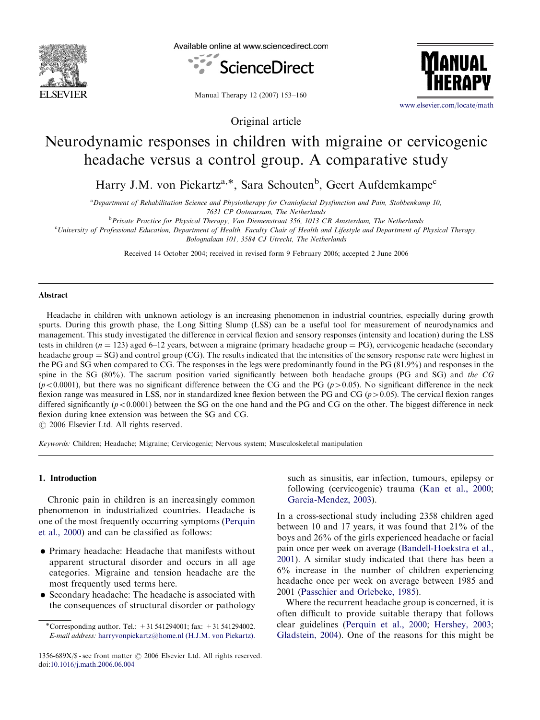

Available online at www.sciencedirect.com



Manual Therapy 12 (2007) 153–160

Original article



<www.elsevier.com/locate/math>

# Neurodynamic responses in children with migraine or cervicogenic headache versus a control group. A comparative study

Harry J.M. von Piekartz<sup>a,\*</sup>, Sara Schouten<sup>b</sup>, Geert Aufdemkampe<sup>c</sup>

<sup>a</sup> Department of Rehabilitation Science and Physiotherapy for Craniofacial Dysfunction and Pain, Stobbenkamp 10, 7631 CP Ootmarsum, The Netherlands

<sup>b</sup> Private Practice for Physical Therapy, Van Diemenstraat 356, 1013 CR Amsterdam, The Netherlands

c University of Professional Education, Department of Health, Faculty Chair of Health and Lifestyle and Department of Physical Therapy,

Bolognalaan 101, 3584 CJ Utrecht, The Netherlands

Received 14 October 2004; received in revised form 9 February 2006; accepted 2 June 2006

# Abstract

Headache in children with unknown aetiology is an increasing phenomenon in industrial countries, especially during growth spurts. During this growth phase, the Long Sitting Slump (LSS) can be a useful tool for measurement of neurodynamics and management. This study investigated the difference in cervical flexion and sensory responses (intensity and location) during the LSS tests in children ( $n = 123$ ) aged 6–12 years, between a migraine (primary headache group = PG), cervicogenic headache (secondary headache group  $=$  SG) and control group (CG). The results indicated that the intensities of the sensory response rate were highest in the PG and SG when compared to CG. The responses in the legs were predominantly found in the PG (81.9%) and responses in the spine in the SG (80%). The sacrum position varied significantly between both headache groups (PG and SG) and the CG  $(p<0.0001)$ , but there was no significant difference between the CG and the PG ( $p>0.05$ ). No significant difference in the neck flexion range was measured in LSS, nor in standardized knee flexion between the PG and CG ( $p>0.05$ ). The cervical flexion ranges differed significantly ( $p < 0.0001$ ) between the SG on the one hand and the PG and CG on the other. The biggest difference in neck flexion during knee extension was between the SG and CG.

 $\odot$  2006 Elsevier Ltd. All rights reserved.

Keywords: Children; Headache; Migraine; Cervicogenic; Nervous system; Musculoskeletal manipulation

## 1. Introduction

Chronic pain in children is an increasingly common phenomenon in industrialized countries. Headache is one of the most frequently occurring symptoms [\(Perquin](#page-7-0) [et al., 2000\)](#page-7-0) and can be classified as follows:

- Primary headache: Headache that manifests without apparent structural disorder and occurs in all age categories. Migraine and tension headache are the most frequently used terms here.
- Secondary headache: The headache is associated with the consequences of structural disorder or pathology

such as sinusitis, ear infection, tumours, epilepsy or following (cervicogenic) trauma ([Kan et al., 2000;](#page-6-0) [Garcia-Mendez, 2003\)](#page-6-0).

In a cross-sectional study including 2358 children aged between 10 and 17 years, it was found that 21% of the boys and 26% of the girls experienced headache or facial pain once per week on average ([Bandell-Hoekstra et al.,](#page-6-0) [2001](#page-6-0)). A similar study indicated that there has been a 6% increase in the number of children experiencing headache once per week on average between 1985 and 2001 [\(Passchier and Orlebeke, 1985\)](#page-7-0).

Where the recurrent headache group is concerned, it is often difficult to provide suitable therapy that follows clear guidelines ([Perquin et al., 2000](#page-7-0); [Hershey, 2003;](#page-6-0) [Gladstein, 2004](#page-6-0)). One of the reasons for this might be

<sup>-</sup>Corresponding author. Tel.: +31 541294001; fax: +31 541294002. E-mail address: [harryvonpiekartz@home.nl \(H.J.M. von Piekartz\).](mailto:harryvonpiekartz@home.nl)

<sup>1356-689</sup>X/\$ - see front matter  $\odot$  2006 Elsevier Ltd. All rights reserved. doi:[10.1016/j.math.2006.06.004](dx.doi.org/10.1016/j.math.2006.06.004)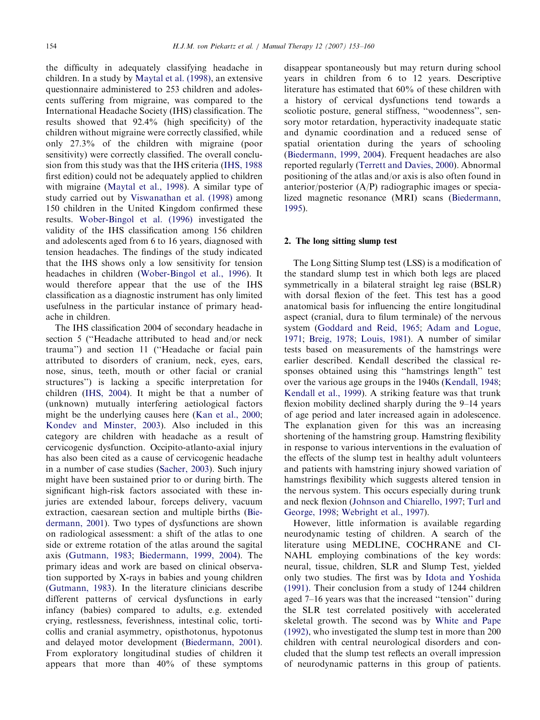the difficulty in adequately classifying headache in children. In a study by [Maytal et al. \(1998\),](#page-7-0) an extensive questionnaire administered to 253 children and adolescents suffering from migraine, was compared to the International Headache Society (IHS) classification. The results showed that 92.4% (high specificity) of the children without migraine were correctly classified, while only 27.3% of the children with migraine (poor sensitivity) were correctly classified. The overall conclusion from this study was that the IHS criteria [\(IHS, 1988](#page-6-0) first edition) could not be adequately applied to children with migraine ([Maytal et al., 1998\)](#page-7-0). A similar type of study carried out by [Viswanathan et al. \(1998\)](#page-7-0) among 150 children in the United Kingdom confirmed these results. [Wober-Bingol et al. \(1996\)](#page-7-0) investigated the validity of the IHS classification among 156 children and adolescents aged from 6 to 16 years, diagnosed with tension headaches. The findings of the study indicated that the IHS shows only a low sensitivity for tension headaches in children [\(Wober-Bingol et al., 1996\)](#page-7-0). It would therefore appear that the use of the IHS classification as a diagnostic instrument has only limited usefulness in the particular instance of primary headache in children.

The IHS classification 2004 of secondary headache in section 5 (''Headache attributed to head and/or neck trauma'') and section 11 (''Headache or facial pain attributed to disorders of cranium, neck, eyes, ears, nose, sinus, teeth, mouth or other facial or cranial structures'') is lacking a specific interpretation for children ([IHS, 2004\)](#page-6-0). It might be that a number of (unknown) mutually interfering aetiological factors might be the underlying causes here ([Kan et al., 2000](#page-6-0); [Kondev and Minster, 2003](#page-7-0)). Also included in this category are children with headache as a result of cervicogenic dysfunction. Occipito-atlanto-axial injury has also been cited as a cause of cervicogenic headache in a number of case studies [\(Sacher, 2003\)](#page-7-0). Such injury might have been sustained prior to or during birth. The significant high-risk factors associated with these injuries are extended labour, forceps delivery, vacuum extraction, caesarean section and multiple births ([Bie](#page-6-0)[dermann, 2001](#page-6-0)). Two types of dysfunctions are shown on radiological assessment: a shift of the atlas to one side or extreme rotation of the atlas around the sagital axis ([Gutmann, 1983](#page-6-0); [Biedermann, 1999, 2004\)](#page-6-0). The primary ideas and work are based on clinical observation supported by X-rays in babies and young children ([Gutmann, 1983\)](#page-6-0). In the literature clinicians describe different patterns of cervical dysfunctions in early infancy (babies) compared to adults, e.g. extended crying, restlessness, feverishness, intestinal colic, torticollis and cranial asymmetry, opisthotonus, hypotonus and delayed motor development [\(Biedermann, 2001\)](#page-6-0). From exploratory longitudinal studies of children it appears that more than 40% of these symptoms

disappear spontaneously but may return during school years in children from 6 to 12 years. Descriptive literature has estimated that 60% of these children with a history of cervical dysfunctions tend towards a scoliotic posture, general stiffness, ''woodenness'', sensory motor retardation, hyperactivity inadequate static and dynamic coordination and a reduced sense of spatial orientation during the years of schooling ([Biedermann, 1999, 2004\)](#page-6-0). Frequent headaches are also reported regularly ([Terrett and Davies, 2000](#page-7-0)). Abnormal positioning of the atlas and/or axis is also often found in anterior/posterior (A/P) radiographic images or specialized magnetic resonance (MRI) scans [\(Biedermann,](#page-6-0) [1995\)](#page-6-0).

#### 2. The long sitting slump test

The Long Sitting Slump test (LSS) is a modification of the standard slump test in which both legs are placed symmetrically in a bilateral straight leg raise (BSLR) with dorsal flexion of the feet. This test has a good anatomical basis for influencing the entire longitudinal aspect (cranial, dura to filum terminale) of the nervous system [\(Goddard and Reid, 1965](#page-6-0); [Adam and Logue,](#page-6-0) [1971;](#page-6-0) [Breig, 1978;](#page-6-0) [Louis, 1981\)](#page-7-0). A number of similar tests based on measurements of the hamstrings were earlier described. Kendall described the classical responses obtained using this ''hamstrings length'' test over the various age groups in the 1940s ([Kendall, 1948](#page-6-0); [Kendall et al., 1999\)](#page-7-0). A striking feature was that trunk flexion mobility declined sharply during the 9–14 years of age period and later increased again in adolescence. The explanation given for this was an increasing shortening of the hamstring group. Hamstring flexibility in response to various interventions in the evaluation of the effects of the slump test in healthy adult volunteers and patients with hamstring injury showed variation of hamstrings flexibility which suggests altered tension in the nervous system. This occurs especially during trunk and neck flexion ([Johnson and Chiarello, 1997](#page-6-0); [Turl and](#page-7-0) [George, 1998;](#page-7-0) [Webright et al., 1997\)](#page-7-0).

However, little information is available regarding neurodynamic testing of children. A search of the literature using MEDLINE, COCHRANE and CI-NAHL employing combinations of the key words: neural, tissue, children, SLR and Slump Test, yielded only two studies. The first was by [Idota and Yoshida](#page-6-0) [\(1991\)](#page-6-0). Their conclusion from a study of 1244 children aged 7–16 years was that the increased ''tension'' during the SLR test correlated positively with accelerated skeletal growth. The second was by [White and Pape](#page-7-0) [\(1992\)](#page-7-0), who investigated the slump test in more than 200 children with central neurological disorders and concluded that the slump test reflects an overall impression of neurodynamic patterns in this group of patients.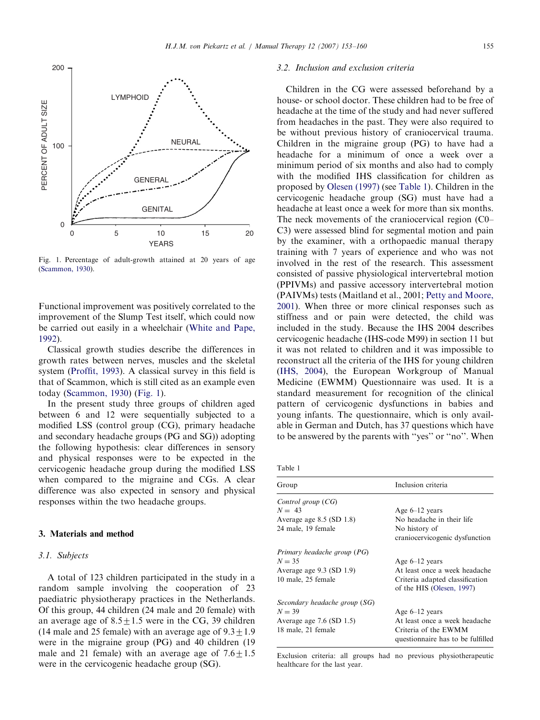

Fig. 1. Percentage of adult-growth attained at 20 years of age [\(Scammon, 1930\)](#page-7-0).

Functional improvement was positively correlated to the improvement of the Slump Test itself, which could now be carried out easily in a wheelchair ([White and Pape,](#page-7-0) [1992](#page-7-0)).

Classical growth studies describe the differences in growth rates between nerves, muscles and the skeletal system [\(Proffit, 1993\)](#page-7-0). A classical survey in this field is that of Scammon, which is still cited as an example even today [\(Scammon, 1930\)](#page-7-0) (Fig. 1).

In the present study three groups of children aged between 6 and 12 were sequentially subjected to a modified LSS (control group (CG), primary headache and secondary headache groups (PG and SG)) adopting the following hypothesis: clear differences in sensory and physical responses were to be expected in the cervicogenic headache group during the modified LSS when compared to the migraine and CGs. A clear difference was also expected in sensory and physical responses within the two headache groups.

#### 3. Materials and method

#### 3.1. Subjects

A total of 123 children participated in the study in a random sample involving the cooperation of 23 paediatric physiotherapy practices in the Netherlands. Of this group, 44 children (24 male and 20 female) with an average age of  $8.5 \pm 1.5$  were in the CG, 39 children (14 male and 25 female) with an average age of  $9.3 \pm 1.9$ were in the migraine group (PG) and 40 children (19 male and 21 female) with an average age of  $7.6\pm1.5$ were in the cervicogenic headache group (SG).

# 3.2. Inclusion and exclusion criteria

Children in the CG were assessed beforehand by a house- or school doctor. These children had to be free of headache at the time of the study and had never suffered from headaches in the past. They were also required to be without previous history of craniocervical trauma. Children in the migraine group (PG) to have had a headache for a minimum of once a week over a minimum period of six months and also had to comply with the modified IHS classification for children as proposed by [Olesen \(1997\)](#page-7-0) (see Table 1). Children in the cervicogenic headache group (SG) must have had a headache at least once a week for more than six months. The neck movements of the craniocervical region (C0– C3) were assessed blind for segmental motion and pain by the examiner, with a orthopaedic manual therapy training with 7 years of experience and who was not involved in the rest of the research. This assessment consisted of passive physiological intervertebral motion (PPIVMs) and passive accessory intervertebral motion (PAIVMs) tests (Maitland et al., 2001; [Petty and Moore,](#page-7-0) [2001](#page-7-0)). When three or more clinical responses such as stiffness and or pain were detected, the child was included in the study. Because the IHS 2004 describes cervicogenic headache (IHS-code M99) in section 11 but it was not related to children and it was impossible to reconstruct all the criteria of the IHS for young children ([IHS, 2004](#page-6-0)), the European Workgroup of Manual Medicine (EWMM) Questionnaire was used. It is a standard measurement for recognition of the clinical pattern of cervicogenic dysfunctions in babies and young infants. The questionnaire, which is only available in German and Dutch, has 37 questions which have to be answered by the parents with ''yes'' or ''no''. When

| Group                         | Inclusion criteria                                           |  |
|-------------------------------|--------------------------------------------------------------|--|
| Control group (CG)            |                                                              |  |
| $N = 43$                      | Age $6-12$ years                                             |  |
| Average age $8.5$ (SD $1.8$ ) | No headache in their life                                    |  |
| 24 male, 19 female            | No history of                                                |  |
|                               | craniocervicogenic dysfunction                               |  |
| Primary headache group (PG)   |                                                              |  |
| $N = 35$                      | Age $6-12$ years                                             |  |
| Average age 9.3 (SD 1.9)      | At least once a week headache                                |  |
| 10 male, 25 female            | Criteria adapted classification<br>of the HIS (Olesen, 1997) |  |
| Secondary headache group (SG) |                                                              |  |
| $N = 39$                      | Age $6-12$ years                                             |  |
| Average age $7.6$ (SD $1.5$ ) | At least once a week headache                                |  |
| 18 male, 21 female            | Criteria of the EWMM<br>questionnaire has to be fulfilled    |  |

Exclusion criteria: all groups had no previous physiotherapeutic healthcare for the last year.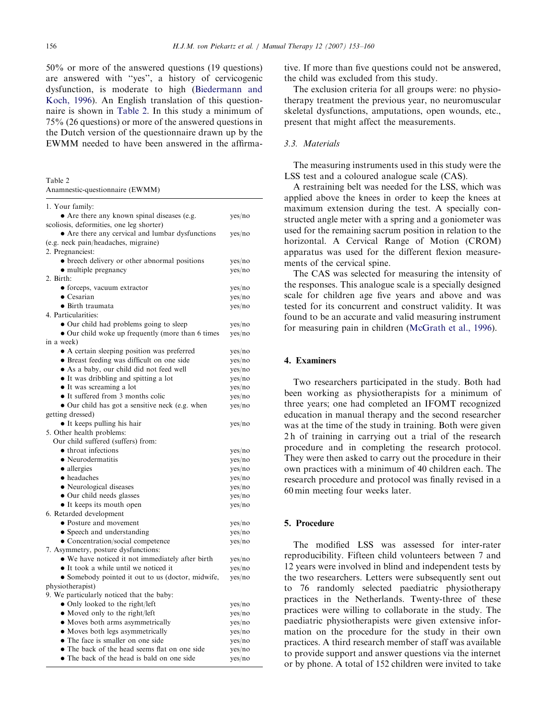50% or more of the answered questions (19 questions) are answered with ''yes'', a history of cervicogenic dysfunction, is moderate to high [\(Biedermann and](#page-6-0) [Koch, 1996](#page-6-0)). An English translation of this questionnaire is shown in Table 2. In this study a minimum of 75% (26 questions) or more of the answered questions in the Dutch version of the questionnaire drawn up by the EWMM needed to have been answered in the affirma-

Table 2 Anamnestic-questionnaire (EWMM)

| 1. Your family:                                   |        |
|---------------------------------------------------|--------|
| • Are there any known spinal diseases (e.g.       | yes/no |
| scoliosis, deformities, one leg shorter)          |        |
| • Are there any cervical and lumbar dysfunctions  | yes/no |
| (e.g. neck pain/headaches, migraine)              |        |
| 2. Pregnanciest:                                  |        |
| • breech delivery or other abnormal positions     | yes/no |
| • multiple pregnancy                              | yes/no |
| 2. Birth:                                         |        |
| • forceps, vacuum extractor                       | yes/no |
| $\bullet$ Cesarian                                | yes/no |
| · Birth traumata                                  | yes/no |
| 4. Particularities:                               |        |
| • Our child had problems going to sleep           | yes/no |
| • Our child woke up frequently (more than 6 times | yes/no |
| in a week)                                        |        |
| • A certain sleeping position was preferred       | yes/no |
| • Breast feeding was difficult on one side        | yes/no |
| · As a baby, our child did not feed well          | yes/no |
| • It was dribbling and spitting a lot             | yes/no |
| • It was screaming a lot                          | yes/no |
| • It suffered from 3 months colic                 | yes/no |
| • Our child has got a sensitive neck (e.g. when   | yes/no |
| getting dressed)                                  |        |
| • It keeps pulling his hair                       | yes/no |
| 5. Other health problems:                         |        |
| Our child suffered (suffers) from:                |        |
| • throat infections                               | yes/no |
| • Neurodermatitis                                 | yes/no |
| • allergies                                       | yes/no |
| • headaches                                       | yes/no |
| • Neurological diseases                           | yes/no |
| • Our child needs glasses                         | yes/no |
| • It keeps its mouth open                         | yes/no |
| 6. Retarded development                           |        |
| • Posture and movement                            | yes/no |
| • Speech and understanding                        | yes/no |
| • Concentration/social competence                 | yes/no |
| 7. Asymmetry, posture dysfunctions:               |        |
| • We have noticed it not immediately after birth  | yes/no |
| • It took a while until we noticed it             | yes/no |
| • Somebody pointed it out to us (doctor, midwife, | yes/no |
| physiotherapist)                                  |        |
| 9. We particularly noticed that the baby:         |        |
| · Only looked to the right/left                   | yes/no |
| • Moved only to the right/left                    | yes/no |
| • Moves both arms asymmetrically                  | yes/no |
| · Moves both legs asymmetrically                  | yes/no |
| • The face is smaller on one side                 | yes/no |
| • The back of the head seems flat on one side     | yes/no |
| • The back of the head is bald on one side        | yes/no |

tive. If more than five questions could not be answered, the child was excluded from this study.

The exclusion criteria for all groups were: no physiotherapy treatment the previous year, no neuromuscular skeletal dysfunctions, amputations, open wounds, etc., present that might affect the measurements.

# 3.3. Materials

The measuring instruments used in this study were the LSS test and a coloured analogue scale (CAS).

A restraining belt was needed for the LSS, which was applied above the knees in order to keep the knees at maximum extension during the test. A specially constructed angle meter with a spring and a goniometer was used for the remaining sacrum position in relation to the horizontal. A Cervical Range of Motion (CROM) apparatus was used for the different flexion measurements of the cervical spine.

The CAS was selected for measuring the intensity of the responses. This analogue scale is a specially designed scale for children age five years and above and was tested for its concurrent and construct validity. It was found to be an accurate and valid measuring instrument for measuring pain in children ([McGrath et al., 1996\)](#page-7-0).

### 4. Examiners

Two researchers participated in the study. Both had been working as physiotherapists for a minimum of three years; one had completed an IFOMT recognized education in manual therapy and the second researcher was at the time of the study in training. Both were given 2 h of training in carrying out a trial of the research procedure and in completing the research protocol. They were then asked to carry out the procedure in their own practices with a minimum of 40 children each. The research procedure and protocol was finally revised in a 60 min meeting four weeks later.

#### 5. Procedure

The modified LSS was assessed for inter-rater reproducibility. Fifteen child volunteers between 7 and 12 years were involved in blind and independent tests by the two researchers. Letters were subsequently sent out to 76 randomly selected paediatric physiotherapy practices in the Netherlands. Twenty-three of these practices were willing to collaborate in the study. The paediatric physiotherapists were given extensive information on the procedure for the study in their own practices. A third research member of staff was available to provide support and answer questions via the internet or by phone. A total of 152 children were invited to take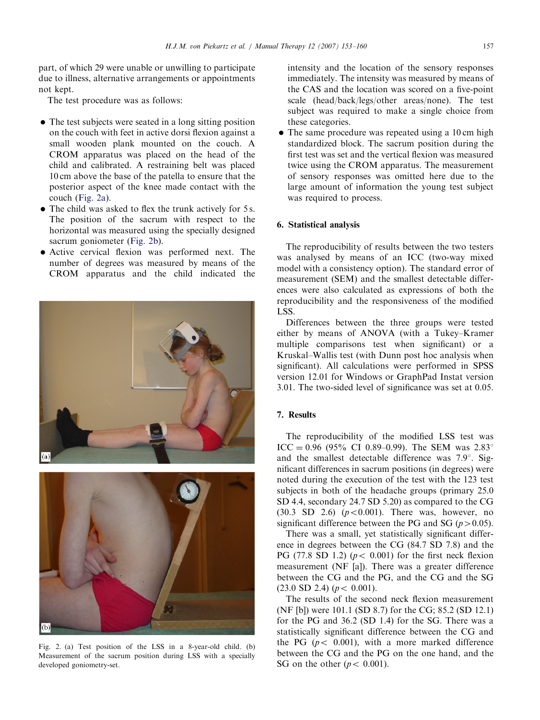part, of which 29 were unable or unwilling to participate due to illness, alternative arrangements or appointments not kept.

The test procedure was as follows:

- The test subjects were seated in a long sitting position on the couch with feet in active dorsi flexion against a small wooden plank mounted on the couch. A CROM apparatus was placed on the head of the child and calibrated. A restraining belt was placed 10 cm above the base of the patella to ensure that the posterior aspect of the knee made contact with the couch (Fig. 2a).
- The child was asked to flex the trunk actively for 5 s. The position of the sacrum with respect to the horizontal was measured using the specially designed sacrum goniometer (Fig. 2b).
- Active cervical flexion was performed next. The number of degrees was measured by means of the CROM apparatus and the child indicated the





Fig. 2. (a) Test position of the LSS in a 8-year-old child. (b) Measurement of the sacrum position during LSS with a specially developed goniometry-set.

intensity and the location of the sensory responses immediately. The intensity was measured by means of the CAS and the location was scored on a five-point scale (head/back/legs/other areas/none). The test subject was required to make a single choice from these categories.

• The same procedure was repeated using a 10 cm high standardized block. The sacrum position during the first test was set and the vertical flexion was measured twice using the CROM apparatus. The measurement of sensory responses was omitted here due to the large amount of information the young test subject was required to process.

## 6. Statistical analysis

The reproducibility of results between the two testers was analysed by means of an ICC (two-way mixed model with a consistency option). The standard error of measurement (SEM) and the smallest detectable differences were also calculated as expressions of both the reproducibility and the responsiveness of the modified LSS.

Differences between the three groups were tested either by means of ANOVA (with a Tukey–Kramer multiple comparisons test when significant) or a Kruskal–Wallis test (with Dunn post hoc analysis when significant). All calculations were performed in SPSS version 12.01 for Windows or GraphPad Instat version 3.01. The two-sided level of significance was set at 0.05.

# 7. Results

The reproducibility of the modified LSS test was ICC = 0.96 (95% CI 0.89–0.99). The SEM was  $2.83^{\circ}$ and the smallest detectable difference was  $7.9^{\circ}$ . Significant differences in sacrum positions (in degrees) were noted during the execution of the test with the 123 test subjects in both of the headache groups (primary 25.0 SD 4.4, secondary 24.7 SD 5.20) as compared to the CG  $(30.3 \, SD \, 2.6)$   $(p < 0.001)$ . There was, however, no significant difference between the PG and SG ( $p > 0.05$ ).

There was a small, yet statistically significant difference in degrees between the CG (84.7 SD 7.8) and the PG (77.8 SD 1.2) ( $p < 0.001$ ) for the first neck flexion measurement (NF [a]). There was a greater difference between the CG and the PG, and the CG and the SG  $(23.0$  SD 2.4)  $(p < 0.001)$ .

The results of the second neck flexion measurement (NF [b]) were 101.1 (SD 8.7) for the CG; 85.2 (SD 12.1) for the PG and 36.2 (SD 1.4) for the SG. There was a statistically significant difference between the CG and the PG ( $p < 0.001$ ), with a more marked difference between the CG and the PG on the one hand, and the SG on the other ( $p < 0.001$ ).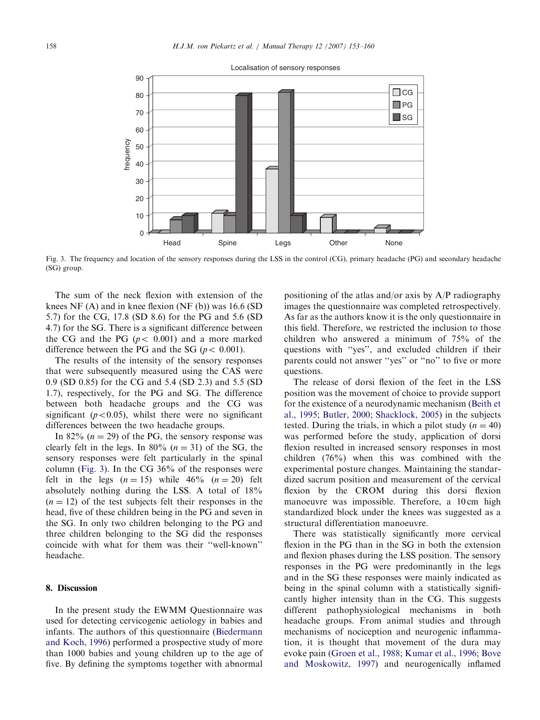

Localisation of sensory responses

Fig. 3. The frequency and location of the sensory responses during the LSS in the control (CG), primary headache (PG) and secondary headache (SG) group.

The sum of the neck flexion with extension of the knees NF (A) and in knee flexion (NF (b)) was 16.6 (SD 5.7) for the CG, 17.8 (SD 8.6) for the PG and 5.6 (SD 4.7) for the SG. There is a significant difference between the CG and the PG  $(p < 0.001)$  and a more marked difference between the PG and the SG ( $p < 0.001$ ).

The results of the intensity of the sensory responses that were subsequently measured using the CAS were 0.9 (SD 0.85) for the CG and 5.4 (SD 2.3) and 5.5 (SD 1.7), respectively, for the PG and SG. The difference between both headache groups and the CG was significant ( $p < 0.05$ ), whilst there were no significant differences between the two headache groups.

In 82%  $(n = 29)$  of the PG, the sensory response was clearly felt in the legs. In 80%  $(n = 31)$  of the SG, the sensory responses were felt particularly in the spinal column (Fig. 3). In the CG 36% of the responses were felt in the legs  $(n = 15)$  while 46%  $(n = 20)$  felt absolutely nothing during the LSS. A total of 18%  $(n = 12)$  of the test subjects felt their responses in the head, five of these children being in the PG and seven in the SG. In only two children belonging to the PG and three children belonging to the SG did the responses coincide with what for them was their ''well-known'' headache.

## 8. Discussion

In the present study the EWMM Questionnaire was used for detecting cervicogenic aetiology in babies and infants. The authors of this questionnaire [\(Biedermann](#page-6-0) [and Koch, 1996](#page-6-0)) performed a prospective study of more than 1000 babies and young children up to the age of five. By defining the symptoms together with abnormal

positioning of the atlas and/or axis by A/P radiography images the questionnaire was completed retrospectively. As far as the authors know it is the only questionnaire in this field. Therefore, we restricted the inclusion to those children who answered a minimum of 75% of the questions with ''yes'', and excluded children if their parents could not answer ''yes'' or ''no'' to five or more questions.

The release of dorsi flexion of the feet in the LSS position was the movement of choice to provide support for the existence of a neurodynamic mechanism [\(Beith et](#page-6-0) [al., 1995](#page-6-0); [Butler, 2000;](#page-6-0) [Shacklock, 2005](#page-7-0)) in the subjects tested. During the trials, in which a pilot study ( $n = 40$ ) was performed before the study, application of dorsi flexion resulted in increased sensory responses in most children (76%) when this was combined with the experimental posture changes. Maintaining the standardized sacrum position and measurement of the cervical flexion by the CROM during this dorsi flexion manoeuvre was impossible. Therefore, a 10 cm high standardized block under the knees was suggested as a structural differentiation manoeuvre.

There was statistically significantly more cervical flexion in the PG than in the SG in both the extension and flexion phases during the LSS position. The sensory responses in the PG were predominantly in the legs and in the SG these responses were mainly indicated as being in the spinal column with a statistically significantly higher intensity than in the CG. This suggests different pathophysiological mechanisms in both headache groups. From animal studies and through mechanisms of nociception and neurogenic inflammation, it is thought that movement of the dura may evoke pain ([Groen et al., 1988](#page-6-0); [Kumar et al., 1996;](#page-7-0) [Bove](#page-6-0) [and Moskowitz, 1997\)](#page-6-0) and neurogenically inflamed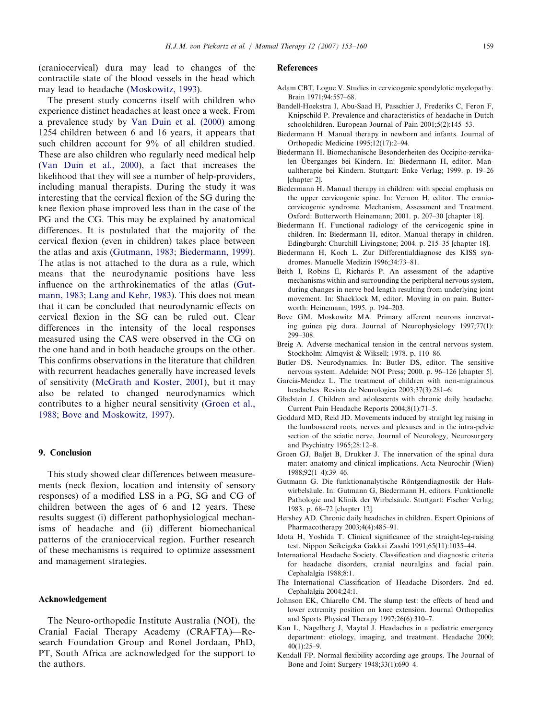<span id="page-6-0"></span>(craniocervical) dura may lead to changes of the contractile state of the blood vessels in the head which may lead to headache [\(Moskowitz, 1993](#page-7-0)).

The present study concerns itself with children who experience distinct headaches at least once a week. From a prevalence study by [Van Duin et al. \(2000\)](#page-7-0) among 1254 children between 6 and 16 years, it appears that such children account for 9% of all children studied. These are also children who regularly need medical help ([Van Duin et al., 2000\)](#page-7-0), a fact that increases the likelihood that they will see a number of help-providers, including manual therapists. During the study it was interesting that the cervical flexion of the SG during the knee flexion phase improved less than in the case of the PG and the CG. This may be explained by anatomical differences. It is postulated that the majority of the cervical flexion (even in children) takes place between the atlas and axis (Gutmann, 1983; Biedermann, 1999). The atlas is not attached to the dura as a rule, which means that the neurodynamic positions have less influence on the arthrokinematics of the atlas (Gutmann, 1983; [Lang and Kehr, 1983\)](#page-7-0). This does not mean that it can be concluded that neurodynamic effects on cervical flexion in the SG can be ruled out. Clear differences in the intensity of the local responses measured using the CAS were observed in the CG on the one hand and in both headache groups on the other. This confirms observations in the literature that children with recurrent headaches generally have increased levels of sensitivity [\(McGrath and Koster, 2001\)](#page-7-0), but it may also be related to changed neurodynamics which contributes to a higher neural sensitivity (Groen et al., 1988; Bove and Moskowitz, 1997).

### 9. Conclusion

This study showed clear differences between measurements (neck flexion, location and intensity of sensory responses) of a modified LSS in a PG, SG and CG of children between the ages of 6 and 12 years. These results suggest (i) different pathophysiological mechanisms of headache and (ii) different biomechanical patterns of the craniocervical region. Further research of these mechanisms is required to optimize assessment and management strategies.

#### Acknowledgement

The Neuro-orthopedic Institute Australia (NOI), the Cranial Facial Therapy Academy (CRAFTA)—Research Foundation Group and Ronel Jordaan, PhD, PT, South Africa are acknowledged for the support to the authors.

#### References

- Adam CBT, Logue V. Studies in cervicogenic spondylotic myelopathy. Brain 1971;94:557–68.
- Bandell-Hoekstra I, Abu-Saad H, Passchier J, Frederiks C, Feron F, Knipschild P. Prevalence and characteristics of headache in Dutch schoolchildren. European Journal of Pain 2001;5(2):145–53.
- Biedermann H. Manual therapy in newborn and infants. Journal of Orthopedic Medicine 1995;12(17):2–94.
- Biedermann H. Biomechanische Besonderheiten des Occipito-zervikalen Überganges bei Kindern. In: Biedermann H, editor. Manualtherapie bei Kindern. Stuttgart: Enke Verlag; 1999. p. 19–26 [chapter 2].
- Biedermann H. Manual therapy in children: with special emphasis on the upper cervicogenic spine. In: Vernon H, editor. The craniocervicogenic syndrome. Mechanism, Assessment and Treatment. Oxford: Butterworth Heinemann; 2001. p. 207–30 [chapter 18].
- Biedermann H. Functional radiology of the cervicogenic spine in children. In: Biedermann H, editor. Manual therapy in children. Edingburgh: Churchill Livingstone; 2004. p. 215–35 [chapter 18].
- Biedermann H, Koch L. Zur Differentialdiagnose des KISS syndromes. Manuelle Medizin 1996;34:73–81.
- Beith I, Robins E, Richards P. An assessment of the adaptive mechanisms within and surrounding the peripheral nervous system, during changes in nerve bed length resulting from underlying joint movement. In: Shacklock M, editor. Moving in on pain. Butterworth: Heinemann; 1995. p. 194–203.
- Bove GM, Moskowitz MA. Primary afferent neurons innervating guinea pig dura. Journal of Neurophysiology 1997;77(1): 299–308.
- Breig A. Adverse mechanical tension in the central nervous system. Stockholm: Almqvist & Wiksell; 1978. p. 110–86.
- Butler DS. Neurodynamics. In: Butler DS, editor. The sensitive nervous system. Adelaide: NOI Press; 2000. p. 96–126 [chapter 5].
- Garcia-Mendez L. The treatment of children with non-migrainous headaches. Revista de Neurologica 2003;37(3):281–6.
- Gladstein J. Children and adolescents with chronic daily headache. Current Pain Headache Reports 2004;8(1):71–5.
- Goddard MD, Reid JD. Movements induced by straight leg raising in the lumbosacral roots, nerves and plexuses and in the intra-pelvic section of the sciatic nerve. Journal of Neurology, Neurosurgery and Psychiatry 1965;28:12–8.
- Groen GJ, Baljet B, Drukker J. The innervation of the spinal dura mater: anatomy and clinical implications. Acta Neurochir (Wien) 1988;92(1–4):39–46.
- Gutmann G. Die funktionanalytische Röntgendiagnostik der Halswirbelsäule. In: Gutmann G, Biedermann H, editors. Funktionelle Pathologie und Klinik der Wirbelsäule. Stuttgart: Fischer Verlag; 1983. p. 68–72 [chapter 12].
- Hershey AD. Chronic daily headaches in children. Expert Opinions of Pharmacotherapy 2003;4(4):485–91.
- Idota H, Yoshida T. Clinical significance of the straight-leg-raising test. Nippon Seikeigeka Gakkai Zasshi 1991;65(11):1035–44.
- International Headache Society. Classification and diagnostic criteria for headache disorders, cranial neuralgias and facial pain. Cephalalgia 1988;8:1.
- The International Classification of Headache Disorders. 2nd ed. Cephalalgia 2004;24:1.
- Johnson EK, Chiarello CM. The slump test: the effects of head and lower extremity position on knee extension. Journal Orthopedics and Sports Physical Therapy 1997;26(6):310–7.
- Kan L, Nagelberg J, Maytal J. Headaches in a pediatric emergency department: etiology, imaging, and treatment. Headache 2000; 40(1):25–9.
- Kendall FP. Normal flexibility according age groups. The Journal of Bone and Joint Surgery 1948;33(1):690–4.